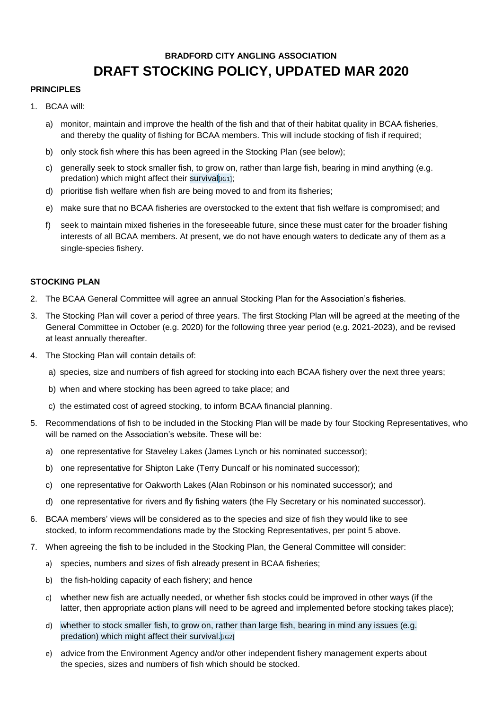# **BRADFORD CITY ANGLING ASSOCIATION DRAFT STOCKING POLICY, UPDATED MAR 2020**

### **PRINCIPLES**

- 1. BCAA will:
	- a) monitor, maintain and improve the health of the fish and that of their habitat quality in BCAA fisheries, and thereby the quality of fishing for BCAA members. This will include stocking of fish if required;
	- b) only stock fish where this has been agreed in the Stocking Plan (see below);
	- c) generally seek to stock smaller fish, to grow on, rather than large fish, bearing in mind anything (e.g. predation) which might affect their survival $[IG1]$ ;
	- d) prioritise fish welfare when fish are being moved to and from its fisheries;
	- e) make sure that no BCAA fisheries are overstocked to the extent that fish welfare is compromised; and
	- f) seek to maintain mixed fisheries in the foreseeable future, since these must cater for the broader fishing interests of all BCAA members. At present, we do not have enough waters to dedicate any of them as a single-species fishery.

## **STOCKING PLAN**

- 2. The BCAA General Committee will agree an annual Stocking Plan for the Association's fisheries.
- 3. The Stocking Plan will cover a period of three years. The first Stocking Plan will be agreed at the meeting of the General Committee in October (e.g. 2020) for the following three year period (e.g. 2021-2023), and be revised at least annually thereafter.
- 4. The Stocking Plan will contain details of:
	- a) species, size and numbers of fish agreed for stocking into each BCAA fishery over the next three years;
	- b) when and where stocking has been agreed to take place; and
	- c) the estimated cost of agreed stocking, to inform BCAA financial planning.
- 5. Recommendations of fish to be included in the Stocking Plan will be made by four Stocking Representatives, who will be named on the Association's website. These will be:
	- a) one representative for Staveley Lakes (James Lynch or his nominated successor);
	- b) one representative for Shipton Lake (Terry Duncalf or his nominated successor);
	- c) one representative for Oakworth Lakes (Alan Robinson or his nominated successor); and
	- d) one representative for rivers and fly fishing waters (the Fly Secretary or his nominated successor).
- 6. BCAA members' views will be considered as to the species and size of fish they would like to see stocked, to inform recommendations made by the Stocking Representatives, per point 5 above.
- 7. When agreeing the fish to be included in the Stocking Plan, the General Committee will consider:
	- a) species, numbers and sizes of fish already present in BCAA fisheries;
	- b) the fish-holding capacity of each fishery; and hence
	- c) whether new fish are actually needed, or whether fish stocks could be improved in other ways (if the latter, then appropriate action plans will need to be agreed and implemented before stocking takes place);
	- d) whether to stock smaller fish, to grow on, rather than large fish, bearing in mind any issues (e.g. predation) which might affect their survival. [JG2]
	- e) advice from the Environment Agency and/or other independent fishery management experts about the species, sizes and numbers of fish which should be stocked.